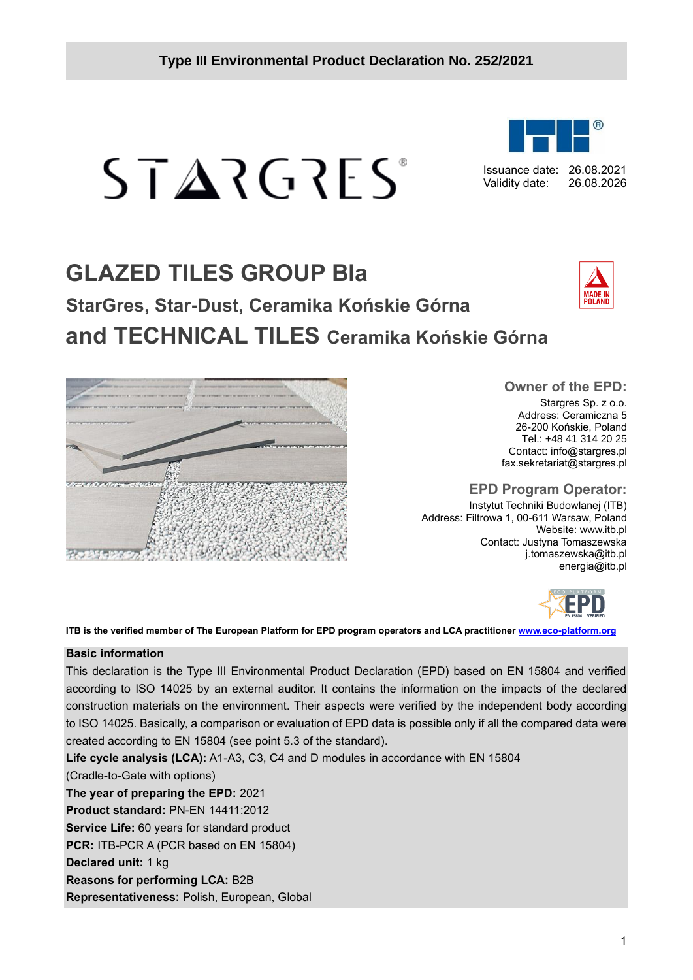## **Type III Environmental Product Declaration No. 252/2021**

# **GLAZED TILES GROUP Bla StarGres, Star-Dust, Ceramika Końskie Górna and TECHNICAL TILES Ceramika Końskie Górna**



#### **EPD Program Operator:**

Instytut Techniki Budowlanej (ITB) Address: Filtrowa 1, 00-611 Warsaw, Poland Website: www.itb.pl Contact: Justyna Tomaszewska j.tomaszewska@itb.pl energia@itb.pl



#### **Basic information**

This declaration is the Type III Environmental Product Declaration (EPD) based on EN 15804 and verified according to ISO 14025 by an external auditor. It contains the information on the impacts of the declared construction materials on the environment. Their aspects were verified by the independent body according to ISO 14025. Basically, a comparison or evaluation of EPD data is possible only if all the compared data were created according to EN 15804 (see point 5.3 of the standard).

**Life cycle analysis (LCA):** A1-A3, C3, C4 and D modules in accordance with EN 15804

(Cradle-to-Gate with options)

**The year of preparing the EPD:** 2021

**Product standard:** PN-EN 14411:2012

**Service Life:** 60 years for standard product **PCR:** ITB-PCR A (PCR based on EN 15804)

**Declared unit:** 1 kg

**Reasons for performing LCA:** B2B

**Representativeness:** Polish, European, Global



 $STARTG2FS$ 



Issuance date: 26.08.2021 Validity date: 26.08.2026

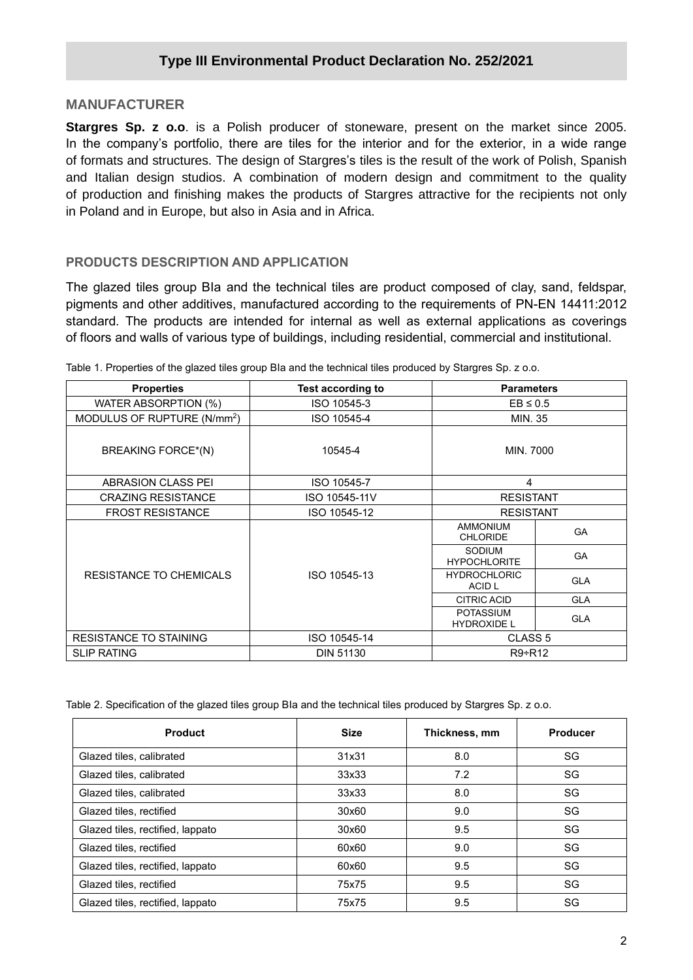## **MANUFACTURER**

**Stargres Sp. z o.o**. is a Polish producer of stoneware, present on the market since 2005. In the company's portfolio, there are tiles for the interior and for the exterior, in a wide range of formats and structures. The design of Stargres's tiles is the result of the work of Polish, Spanish and Italian design studios. A combination of modern design and commitment to the quality of production and finishing makes the products of Stargres attractive for the recipients not only in Poland and in Europe, but also in Asia and in Africa.

#### **PRODUCTS DESCRIPTION AND APPLICATION**

The glazed tiles group BIa and the technical tiles are product composed of clay, sand, feldspar, pigments and other additives, manufactured according to the requirements of PN-EN 14411:2012 standard. The products are intended for internal as well as external applications as coverings of floors and walls of various type of buildings, including residential, commercial and institutional.

| <b>Properties</b>                       | <b>Test according to</b>       | <b>Parameters</b>                      |            |  |
|-----------------------------------------|--------------------------------|----------------------------------------|------------|--|
| WATER ABSORPTION (%)                    | ISO 10545-3                    | $EB \leq 0.5$                          |            |  |
| MODULUS OF RUPTURE (N/mm <sup>2</sup> ) | ISO 10545-4                    | MIN. 35                                |            |  |
| BREAKING FORCE*(N)                      | 10545-4                        | MIN. 7000                              |            |  |
| <b>ABRASION CLASS PEI</b>               | ISO 10545-7                    | 4                                      |            |  |
| <b>CRAZING RESISTANCE</b>               | ISO 10545-11V                  | <b>RESISTANT</b>                       |            |  |
| <b>FROST RESISTANCE</b>                 | ISO 10545-12                   | <b>RESISTANT</b>                       |            |  |
|                                         |                                | <b>AMMONIUM</b><br><b>CHLORIDE</b>     | <b>GA</b>  |  |
|                                         |                                | <b>SODIUM</b><br><b>HYPOCHLORITE</b>   | <b>GA</b>  |  |
| RESISTANCE TO CHEMICALS                 | ISO 10545-13                   | <b>HYDROCHLORIC</b><br>ACID L          | <b>GLA</b> |  |
|                                         |                                | <b>CITRIC ACID</b>                     | <b>GLA</b> |  |
|                                         |                                | <b>POTASSIUM</b><br><b>HYDROXIDE L</b> | <b>GLA</b> |  |
| <b>RESISTANCE TO STAINING</b>           | ISO 10545-14                   | CLASS <sub>5</sub>                     |            |  |
| <b>SLIP RATING</b>                      | <b>DIN 51130</b><br>$R9 + R12$ |                                        |            |  |

Table 1. Properties of the glazed tiles group BIa and the technical tiles produced by Stargres Sp. z o.o.

Table 2. Specification of the glazed tiles group BIa and the technical tiles produced by Stargres Sp. z o.o.

| <b>Product</b>                   | <b>Size</b> | Thickness, mm | <b>Producer</b> |
|----------------------------------|-------------|---------------|-----------------|
| Glazed tiles, calibrated         | 31x31       | 8.0           | SG              |
| Glazed tiles, calibrated         | 33x33       | 7.2           | SG              |
| Glazed tiles, calibrated         | 33x33       | 8.0           | SG              |
| Glazed tiles, rectified          | 30×60       | 9.0           | SG              |
| Glazed tiles, rectified, lappato | 30x60       | 9.5           | SG              |
| Glazed tiles, rectified          | 60x60       | 9.0           | SG              |
| Glazed tiles, rectified, lappato | 60x60       | 9.5           | SG              |
| Glazed tiles, rectified          | 75x75       | 9.5           | SG              |
| Glazed tiles, rectified, lappato | 75x75       | 9.5           | SG              |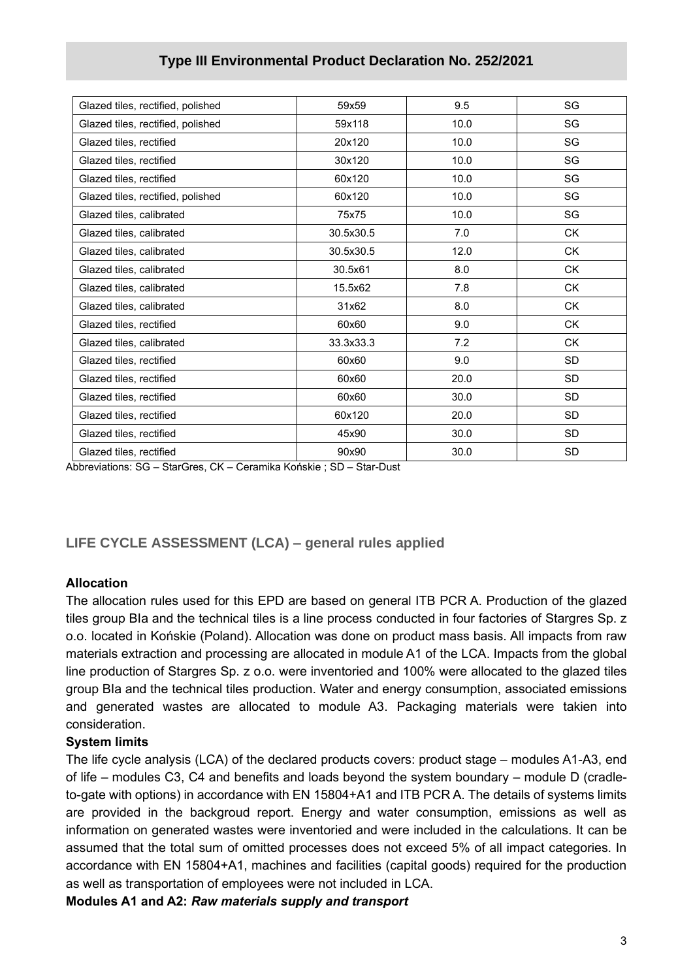| Glazed tiles, rectified, polished | 59x59     | 9.5  | SG        |
|-----------------------------------|-----------|------|-----------|
| Glazed tiles, rectified, polished | 59x118    | 10.0 | SG        |
| Glazed tiles, rectified           | 20x120    | 10.0 | SG        |
| Glazed tiles, rectified           | 30x120    | 10.0 | SG        |
| Glazed tiles, rectified           | 60x120    | 10.0 | SG        |
| Glazed tiles, rectified, polished | 60x120    | 10.0 | SG        |
| Glazed tiles, calibrated          | 75x75     | 10.0 | SG        |
| Glazed tiles, calibrated          | 30.5x30.5 | 7.0  | <b>CK</b> |
| Glazed tiles, calibrated          | 30.5x30.5 | 12.0 | <b>CK</b> |
| Glazed tiles, calibrated          | 30.5x61   | 8.0  | <b>CK</b> |
| Glazed tiles, calibrated          | 15.5x62   | 7.8  | <b>CK</b> |
| Glazed tiles, calibrated          | 31x62     | 8.0  | <b>CK</b> |
| Glazed tiles, rectified           | 60x60     | 9.0  | <b>CK</b> |
| Glazed tiles, calibrated          | 33.3x33.3 | 7.2  | <b>CK</b> |
| Glazed tiles, rectified           | 60x60     | 9.0  | <b>SD</b> |
| Glazed tiles, rectified           | 60x60     | 20.0 | <b>SD</b> |
| Glazed tiles, rectified           | 60x60     | 30.0 | <b>SD</b> |
| Glazed tiles, rectified           | 60x120    | 20.0 | <b>SD</b> |
| Glazed tiles, rectified           | 45x90     | 30.0 | SD        |
| Glazed tiles, rectified           | 90x90     | 30.0 | SD        |

## **Type III Environmental Product Declaration No. 252/2021**

Abbreviations: SG – StarGres, CK – Ceramika Końskie ; SD – Star-Dust

## **LIFE CYCLE ASSESSMENT (LCA) – general rules applied**

#### **Allocation**

The allocation rules used for this EPD are based on general ITB PCR A. Production of the glazed tiles group BIa and the technical tiles is a line process conducted in four factories of Stargres Sp. z o.o. located in Końskie (Poland). Allocation was done on product mass basis. All impacts from raw materials extraction and processing are allocated in module A1 of the LCA. Impacts from the global line production of Stargres Sp. z o.o. were inventoried and 100% were allocated to the glazed tiles group BIa and the technical tiles production. Water and energy consumption, associated emissions and generated wastes are allocated to module A3. Packaging materials were takien into consideration.

#### **System limits**

The life cycle analysis (LCA) of the declared products covers: product stage – modules A1-A3, end of life – modules C3, C4 and benefits and loads beyond the system boundary – module D (cradleto-gate with options) in accordance with EN 15804+A1 and ITB PCR A. The details of systems limits are provided in the backgroud report. Energy and water consumption, emissions as well as information on generated wastes were inventoried and were included in the calculations. It can be assumed that the total sum of omitted processes does not exceed 5% of all impact categories. In accordance with EN 15804+A1, machines and facilities (capital goods) required for the production as well as transportation of employees were not included in LCA.

**Modules A1 and A2:** *Raw materials supply and transport*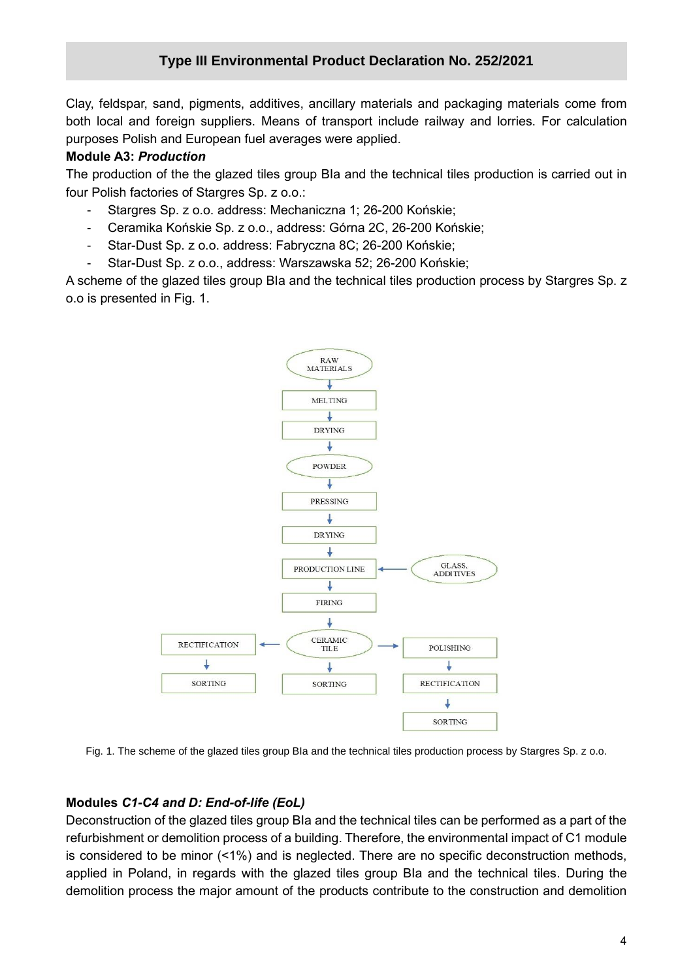Clay, feldspar, sand, pigments, additives, ancillary materials and packaging materials come from both local and foreign suppliers. Means of transport include railway and lorries. For calculation purposes Polish and European fuel averages were applied.

#### **Module A3:** *Production*

The production of the the glazed tiles group BIa and the technical tiles production is carried out in four Polish factories of Stargres Sp. z o.o.:

- Stargres Sp. z o.o. address: Mechaniczna 1; 26-200 Końskie;
- Ceramika Końskie Sp. z o.o., address: Górna 2C, 26-200 Końskie;
- Star-Dust Sp. z o.o. address: Fabryczna 8C; 26-200 Końskie;
- Star-Dust Sp. z o.o., address: Warszawska 52; 26-200 Końskie;

A scheme of the glazed tiles group BIa and the technical tiles production process by Stargres Sp. z o.o is presented in Fig. 1.



Fig. 1. The scheme of the glazed tiles group BIa and the technical tiles production process by Stargres Sp. z o.o.

## **Modules** *C1-C4 and D: End-of-life (EoL)*

Deconstruction of the glazed tiles group BIa and the technical tiles can be performed as a part of the refurbishment or demolition process of a building. Therefore, the environmental impact of C1 module is considered to be minor (<1%) and is neglected. There are no specific deconstruction methods, applied in Poland, in regards with the glazed tiles group BIa and the technical tiles. During the demolition process the major amount of the products contribute to the construction and demolition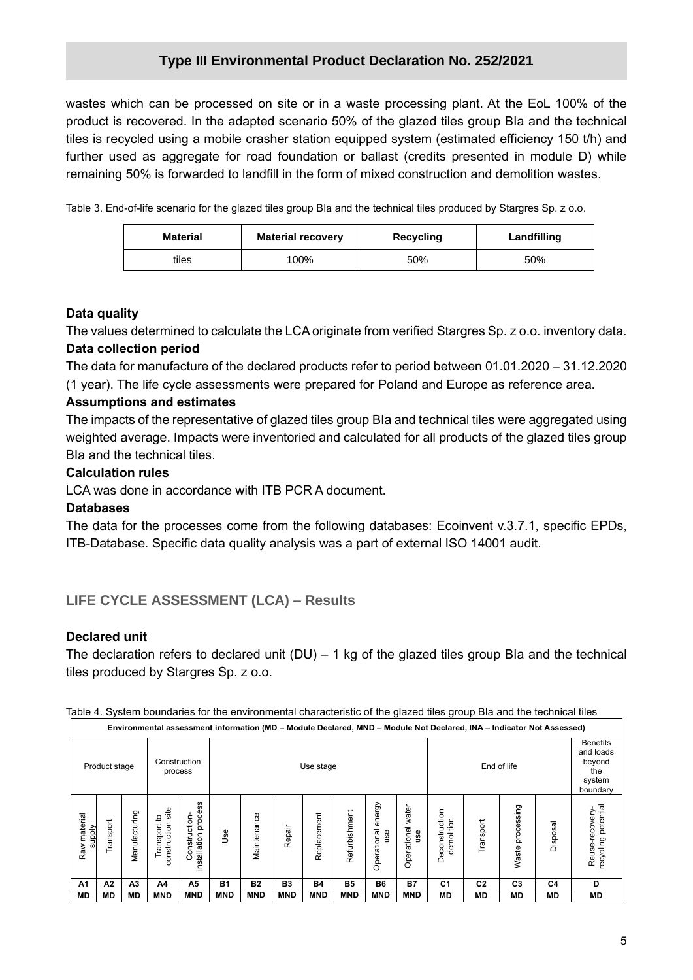wastes which can be processed on site or in a waste processing plant. At the EoL 100% of the product is recovered. In the adapted scenario 50% of the glazed tiles group BIa and the technical tiles is recycled using a mobile crasher station equipped system (estimated efficiency 150 t/h) and further used as aggregate for road foundation or ballast (credits presented in module D) while remaining 50% is forwarded to landfill in the form of mixed construction and demolition wastes.

Table 3. End-of-life scenario for the glazed tiles group BIa and the technical tiles produced by Stargres Sp. z o.o.

| <b>Material</b> | <b>Material recovery</b> | Recycling | Landfilling |  |  |
|-----------------|--------------------------|-----------|-------------|--|--|
| tiles           | '00%                     | 50%       | 50%         |  |  |

## **Data quality**

The values determined to calculate the LCA originate from verified Stargres Sp. z o.o. inventory data. **Data collection period**

The data for manufacture of the declared products refer to period between 01.01.2020 – 31.12.2020 (1 year). The life cycle assessments were prepared for Poland and Europe as reference area.

## **Assumptions and estimates**

The impacts of the representative of glazed tiles group BIa and technical tiles were aggregated using weighted average. Impacts were inventoried and calculated for all products of the glazed tiles group BIa and the technical tiles.

#### **Calculation rules**

LCA was done in accordance with ITB PCR A document.

## **Databases**

The data for the processes come from the following databases: Ecoinvent v.3.7.1, specific EPDs, ITB-Database. Specific data quality analysis was a part of external ISO 14001 audit.

## **LIFE CYCLE ASSESSMENT (LCA) – Results**

## **Declared unit**

The declaration refers to declared unit  $(DU) - 1$  kg of the glazed tiles group BIa and the technical tiles produced by Stargres Sp. z o.o.

|  |  |  |  | Table 4. System boundaries for the environmental characteristic of the glazed tiles group Bla and the technical tiles |  |  |  |  |
|--|--|--|--|-----------------------------------------------------------------------------------------------------------------------|--|--|--|--|
|--|--|--|--|-----------------------------------------------------------------------------------------------------------------------|--|--|--|--|

|                        | Environmental assessment information (MD – Module Declared, MND – Module Not Declared, INA – Indicator Not Assessed) |                |                                         |                                         |            |             |                |             |                |                              |                             |                                   |                |                                                                     |           |                                           |
|------------------------|----------------------------------------------------------------------------------------------------------------------|----------------|-----------------------------------------|-----------------------------------------|------------|-------------|----------------|-------------|----------------|------------------------------|-----------------------------|-----------------------------------|----------------|---------------------------------------------------------------------|-----------|-------------------------------------------|
|                        | Construction<br>Product stage<br>process                                                                             |                |                                         |                                         | Use stage  |             |                |             |                |                              |                             | End of life                       |                | <b>Benefits</b><br>and loads<br>beyond<br>the<br>system<br>boundary |           |                                           |
| Raw material<br>supply | Transport                                                                                                            | Manufacturing  | site<br>್ರ<br>construction<br>Transport | process<br>Construction<br>installation | Use        | Maintenance | Repair         | Replacement | Refurbishment  | energy<br>Operational<br>use | water<br>Operational<br>use | iction<br>demolition<br>Deconstru | Transport      | Waste processing                                                    | Disposal  | recycling potential<br>-recovery<br>Reuse |
| A1                     | А2                                                                                                                   | A <sub>3</sub> | A4                                      | A5                                      | <b>B1</b>  | <b>B2</b>   | B <sub>3</sub> | <b>B4</b>   | B <sub>5</sub> | <b>B6</b>                    | <b>B7</b>                   | C <sub>1</sub>                    | C <sub>2</sub> | C <sub>3</sub>                                                      | C4        | D                                         |
| <b>MD</b>              | <b>MD</b>                                                                                                            | <b>MD</b>      | <b>MND</b>                              | <b>MND</b>                              | <b>MND</b> | <b>MND</b>  | <b>MND</b>     | <b>MND</b>  | <b>MND</b>     | <b>MND</b>                   | <b>MND</b>                  | <b>MD</b>                         | <b>MD</b>      | МD                                                                  | <b>MD</b> | MD                                        |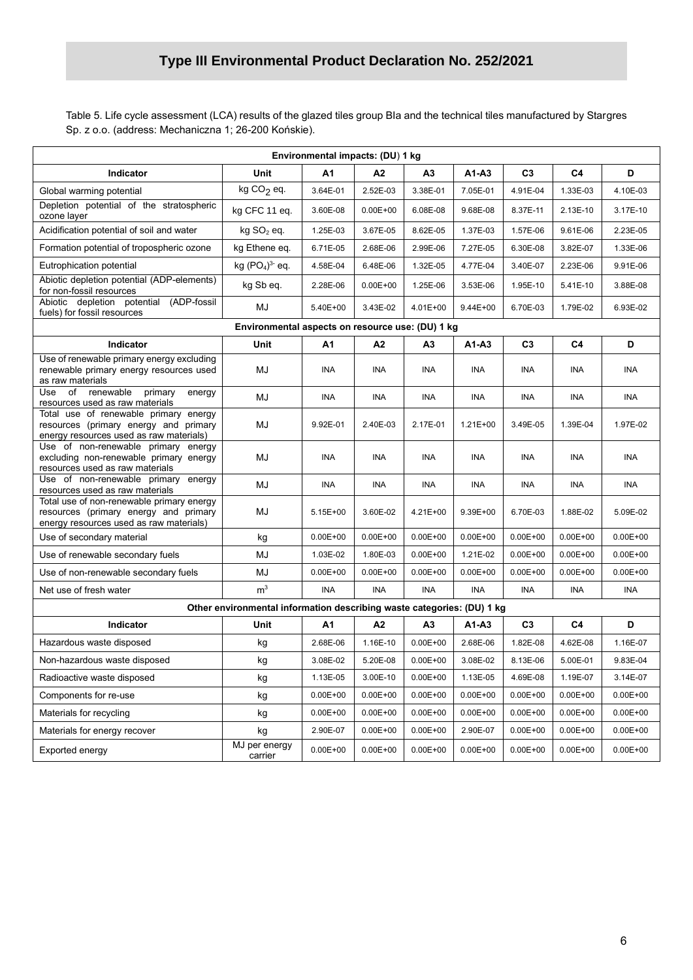Table 5. Life cycle assessment (LCA) results of the glazed tiles group BIa and the technical tiles manufactured by Stargres Sp. z o.o. (address: Mechaniczna 1; 26-200 Końskie).

| Environmental impacts: (DU) 1 kg                                                                                              |                                                                        |              |                |                |              |                |                |              |  |
|-------------------------------------------------------------------------------------------------------------------------------|------------------------------------------------------------------------|--------------|----------------|----------------|--------------|----------------|----------------|--------------|--|
| Indicator                                                                                                                     | Unit                                                                   | А1           | A2             | A3             | $A1-A3$      | C <sub>3</sub> | C <sub>4</sub> | D            |  |
| Global warming potential                                                                                                      | $kg CO2$ eq.                                                           | 3.64E-01     | 2.52E-03       | 3.38E-01       | 7.05E-01     | 4.91E-04       | 1.33E-03       | 4.10E-03     |  |
| Depletion potential of the stratospheric<br>ozone layer                                                                       | kg CFC 11 eq.                                                          | 3.60E-08     | $0.00E + 00$   | 6.08E-08       | 9.68E-08     | 8.37E-11       | 2.13E-10       | 3.17E-10     |  |
| Acidification potential of soil and water                                                                                     | kg SO <sub>2</sub> eq.                                                 | 1.25E-03     | 3.67E-05       | 8.62E-05       | 1.37E-03     | 1.57E-06       | 9.61E-06       | 2.23E-05     |  |
| Formation potential of tropospheric ozone                                                                                     | kg Ethene eq.                                                          | 6.71E-05     | 2.68E-06       | 2.99E-06       | 7.27E-05     | 6.30E-08       | 3.82E-07       | 1.33E-06     |  |
| Eutrophication potential                                                                                                      | kg $(PO4)3$ eq.                                                        | 4.58E-04     | 6.48E-06       | 1.32E-05       | 4.77E-04     | 3.40E-07       | 2.23E-06       | 9.91E-06     |  |
| Abiotic depletion potential (ADP-elements)<br>for non-fossil resources                                                        | kg Sb eq.                                                              | 2.28E-06     | $0.00E + 00$   | 1.25E-06       | 3.53E-06     | 1.95E-10       | 5.41E-10       | 3.88E-08     |  |
| Abiotic depletion potential<br>(ADP-fossil<br>fuels) for fossil resources                                                     | MJ                                                                     | 5.40E+00     | 3.43E-02       | 4.01E+00       | 9.44E+00     | 6.70E-03       | 1.79E-02       | 6.93E-02     |  |
|                                                                                                                               | Environmental aspects on resource use: (DU) 1 kg                       |              |                |                |              |                |                |              |  |
| Indicator                                                                                                                     | Unit                                                                   | A1           | A2             | А3             | $A1 - A3$    | C <sub>3</sub> | C4             | D            |  |
| Use of renewable primary energy excluding<br>renewable primary energy resources used<br>as raw materials                      | MJ                                                                     | <b>INA</b>   | <b>INA</b>     | INA            | <b>INA</b>   | <b>INA</b>     | <b>INA</b>     | INA          |  |
| of<br>renewable<br>Use<br>primary<br>energy<br>resources used as raw materials                                                | MJ                                                                     | INA          | INA            | <b>INA</b>     | <b>INA</b>   | INA            | INA            | <b>INA</b>   |  |
| Total use of renewable primary energy<br>resources (primary energy and primary<br>energy resources used as raw materials)     | MJ                                                                     | 9.92E-01     | 2.40E-03       | 2.17E-01       | 1.21E+00     | 3.49E-05       | 1.39E-04       | 1.97E-02     |  |
| Use of non-renewable primary energy<br>excluding non-renewable primary energy<br>resources used as raw materials              | MJ                                                                     | INA          | <b>INA</b>     | INA            | <b>INA</b>   | <b>INA</b>     | <b>INA</b>     | INA          |  |
| Use of non-renewable primary energy<br>resources used as raw materials                                                        | MJ                                                                     | INA          | <b>INA</b>     | INA            | INA          | <b>INA</b>     | <b>INA</b>     | INA          |  |
| Total use of non-renewable primary energy<br>resources (primary energy and primary<br>energy resources used as raw materials) | MJ                                                                     | 5.15E+00     | 3.60E-02       | 4.21E+00       | 9.39E+00     | 6.70E-03       | 1.88E-02       | 5.09E-02     |  |
| Use of secondary material                                                                                                     | kg                                                                     | $0.00E + 00$ | $0.00E + 00$   | $0.00E + 00$   | $0.00E + 00$ | $0.00E + 00$   | $0.00E + 00$   | $0.00E + 00$ |  |
| Use of renewable secondary fuels                                                                                              | MJ                                                                     | 1.03E-02     | 1.80E-03       | $0.00E + 00$   | 1.21E-02     | $0.00E + 00$   | $0.00E + 00$   | $0.00E + 00$ |  |
| Use of non-renewable secondary fuels                                                                                          | MJ                                                                     | $0.00E + 00$ | $0.00E + 00$   | $0.00E + 00$   | $0.00E + 00$ | $0.00E + 00$   | $0.00E + 00$   | $0.00E + 00$ |  |
| Net use of fresh water                                                                                                        | m <sup>3</sup>                                                         | INA          | INA            | <b>INA</b>     | <b>INA</b>   | <b>INA</b>     | INA            | INA          |  |
|                                                                                                                               | Other environmental information describing waste categories: (DU) 1 kg |              |                |                |              |                |                |              |  |
| Indicator                                                                                                                     | Unit                                                                   | A1           | A <sub>2</sub> | A <sub>3</sub> | A1-A3        | C <sub>3</sub> | C4             | D            |  |
| Hazardous waste disposed                                                                                                      | kg                                                                     | 2.68E-06     | 1.16E-10       | $0.00E + 00$   | 2.68E-06     | 1.82E-08       | 4.62E-08       | 1.16E-07     |  |
| Non-hazardous waste disposed                                                                                                  | kg                                                                     | 3.08E-02     | 5.20E-08       | $0.00E + 00$   | 3.08E-02     | 8.13E-06       | 5.00E-01       | 9.83E-04     |  |
| Radioactive waste disposed                                                                                                    | kg                                                                     | 1.13E-05     | 3.00E-10       | $0.00E + 00$   | 1.13E-05     | 4.69E-08       | 1.19E-07       | 3.14E-07     |  |
| Components for re-use                                                                                                         | kg                                                                     | $0.00E + 00$ | $0.00E + 00$   | $0.00E + 00$   | $0.00E + 00$ | $0.00E + 00$   | $0.00E + 00$   | $0.00E + 00$ |  |
| Materials for recycling                                                                                                       | kg                                                                     | $0.00E + 00$ | $0.00E + 00$   | $0.00E + 00$   | $0.00E + 00$ | $0.00E + 00$   | $0.00E + 00$   | $0.00E + 00$ |  |
| Materials for energy recover                                                                                                  | kg                                                                     | 2.90E-07     | $0.00E + 00$   | $0.00E + 00$   | 2.90E-07     | $0.00E + 00$   | $0.00E + 00$   | $0.00E + 00$ |  |
| Exported energy                                                                                                               | MJ per energy<br>carrier                                               | $0.00E + 00$ | $0.00E + 00$   | $0.00E + 00$   | $0.00E + 00$ | $0.00E + 00$   | $0.00E + 00$   | $0.00E + 00$ |  |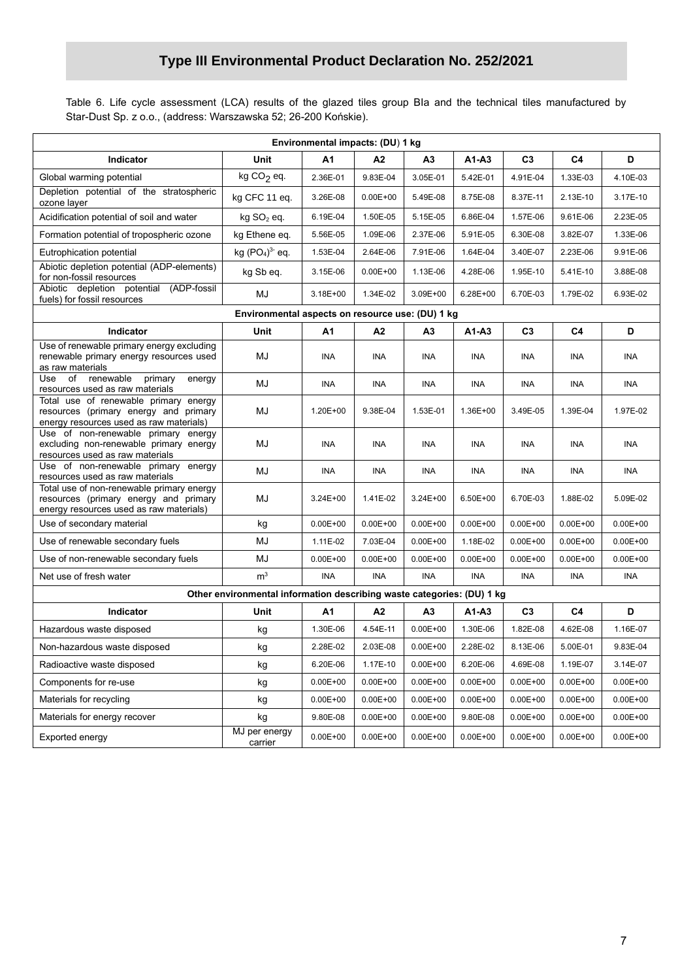Table 6. Life cycle assessment (LCA) results of the glazed tiles group BIa and the technical tiles manufactured by Star-Dust Sp. z o.o., (address: Warszawska 52; 26-200 Końskie).

| Environmental impacts: (DU) 1 kg                                                                                              |                                                                        |              |              |                |              |                |                |              |  |
|-------------------------------------------------------------------------------------------------------------------------------|------------------------------------------------------------------------|--------------|--------------|----------------|--------------|----------------|----------------|--------------|--|
| Indicator                                                                                                                     | Unit                                                                   | A1           | A2           | A3             | $A1 - A3$    | C <sub>3</sub> | C <sub>4</sub> | D            |  |
| Global warming potential                                                                                                      | kg $CO2$ eq.                                                           | 2.36E-01     | 9.83E-04     | 3.05E-01       | 5.42E-01     | 4.91E-04       | 1.33E-03       | 4.10E-03     |  |
| Depletion potential of the stratospheric<br>ozone layer                                                                       | kg CFC 11 eq.                                                          | 3.26E-08     | $0.00E + 00$ | 5.49E-08       | 8.75E-08     | 8.37E-11       | 2.13E-10       | 3.17E-10     |  |
| Acidification potential of soil and water                                                                                     | kg SO <sub>2</sub> eq.                                                 | 6.19E-04     | 1.50E-05     | 5.15E-05       | 6.86E-04     | 1.57E-06       | 9.61E-06       | 2.23E-05     |  |
| Formation potential of tropospheric ozone                                                                                     | kg Ethene eq.                                                          | 5.56E-05     | 1.09E-06     | 2.37E-06       | 5.91E-05     | 6.30E-08       | 3.82E-07       | 1.33E-06     |  |
| Eutrophication potential                                                                                                      | kg $(PO4)3$ eq.                                                        | 1.53E-04     | 2.64E-06     | 7.91E-06       | 1.64E-04     | 3.40E-07       | 2.23E-06       | 9.91E-06     |  |
| Abiotic depletion potential (ADP-elements)<br>for non-fossil resources                                                        | kg Sb eq.                                                              | 3.15E-06     | $0.00E + 00$ | 1.13E-06       | 4.28E-06     | 1.95E-10       | 5.41E-10       | 3.88E-08     |  |
| Abiotic depletion potential<br>(ADP-fossil<br>fuels) for fossil resources                                                     | MJ                                                                     | $3.18E + 00$ | 1.34E-02     | 3.09E+00       | 6.28E+00     | 6.70E-03       | 1.79E-02       | 6.93E-02     |  |
|                                                                                                                               | Environmental aspects on resource use: (DU) 1 kg                       |              |              |                |              |                |                |              |  |
| Indicator                                                                                                                     | Unit                                                                   | А1           | А2           | А3             | $A1 - A3$    | C <sub>3</sub> | C4             | D            |  |
| Use of renewable primary energy excluding<br>renewable primary energy resources used<br>as raw materials                      | MJ                                                                     | <b>INA</b>   | INA          | <b>INA</b>     | <b>INA</b>   | <b>INA</b>     | <b>INA</b>     | INA          |  |
| renewable<br>Use<br>of<br>primary<br>energy<br>resources used as raw materials                                                | MJ                                                                     | INA          | INA          | INA            | INA          | INA            | INA            | INA          |  |
| Total use of renewable primary energy<br>resources (primary energy and primary<br>energy resources used as raw materials)     | MJ                                                                     | 1.20E+00     | 9.38E-04     | 1.53E-01       | 1.36E+00     | 3.49E-05       | 1.39E-04       | 1.97E-02     |  |
| Use of non-renewable primary energy<br>excluding non-renewable primary energy<br>resources used as raw materials              | MJ                                                                     | INA          | <b>INA</b>   | <b>INA</b>     | INA          | <b>INA</b>     | INA            | INA          |  |
| Use of non-renewable primary energy<br>resources used as raw materials                                                        | MJ                                                                     | INA          | INA          | INA            | INA          | <b>INA</b>     | INA            | <b>INA</b>   |  |
| Total use of non-renewable primary energy<br>resources (primary energy and primary<br>energy resources used as raw materials) | MJ                                                                     | $3.24E + 00$ | 1.41E-02     | 3.24E+00       | 6.50E+00     | 6.70E-03       | 1.88E-02       | 5.09E-02     |  |
| Use of secondary material                                                                                                     | kg                                                                     | $0.00E + 00$ | $0.00E + 00$ | $0.00E + 00$   | $0.00E + 00$ | $0.00E + 00$   | $0.00E + 00$   | $0.00E + 00$ |  |
| Use of renewable secondary fuels                                                                                              | MJ                                                                     | 1.11E-02     | 7.03E-04     | $0.00E + 00$   | 1.18E-02     | $0.00E + 00$   | $0.00E + 00$   | $0.00E + 00$ |  |
| Use of non-renewable secondary fuels                                                                                          | MJ                                                                     | $0.00E + 00$ | $0.00E + 00$ | $0.00E + 00$   | $0.00E + 00$ | $0.00E + 00$   | $0.00E + 00$   | $0.00E + 00$ |  |
| Net use of fresh water                                                                                                        | m <sup>3</sup>                                                         | INA          | <b>INA</b>   | INA            | INA          | <b>INA</b>     | INA            | INA          |  |
|                                                                                                                               | Other environmental information describing waste categories: (DU) 1 kg |              |              |                |              |                |                |              |  |
| Indicator                                                                                                                     | Unit                                                                   | А1           | А2           | A <sub>3</sub> | $A1 - A3$    | C <sub>3</sub> | C4             | D            |  |
| Hazardous waste disposed                                                                                                      | kg                                                                     | 1.30E-06     | 4.54E-11     | $0.00E + 00$   | 1.30E-06     | 1.82E-08       | 4.62E-08       | 1.16E-07     |  |
| Non-hazardous waste disposed                                                                                                  | kg                                                                     | 2.28E-02     | 2.03E-08     | $0.00E + 00$   | 2.28E-02     | 8.13E-06       | 5.00E-01       | 9.83E-04     |  |
| Radioactive waste disposed                                                                                                    | kg                                                                     | 6.20E-06     | 1.17E-10     | $0.00E + 00$   | 6.20E-06     | 4.69E-08       | 1.19E-07       | 3.14E-07     |  |
| Components for re-use                                                                                                         | kg                                                                     | $0.00E + 00$ | $0.00E + 00$ | $0.00E + 00$   | $0.00E + 00$ | $0.00E + 00$   | $0.00E + 00$   | $0.00E + 00$ |  |
| Materials for recycling                                                                                                       | kg                                                                     | $0.00E + 00$ | $0.00E + 00$ | $0.00E + 00$   | $0.00E + 00$ | $0.00E + 00$   | $0.00E + 00$   | $0.00E + 00$ |  |
| Materials for energy recover                                                                                                  | kg                                                                     | 9.80E-08     | $0.00E + 00$ | $0.00E + 00$   | 9.80E-08     | $0.00E + 00$   | $0.00E + 00$   | $0.00E + 00$ |  |
| Exported energy                                                                                                               | MJ per energy<br>carrier                                               | $0.00E + 00$ | $0.00E + 00$ | $0.00E + 00$   | $0.00E + 00$ | $0.00E + 00$   | $0.00E + 00$   | $0.00E + 00$ |  |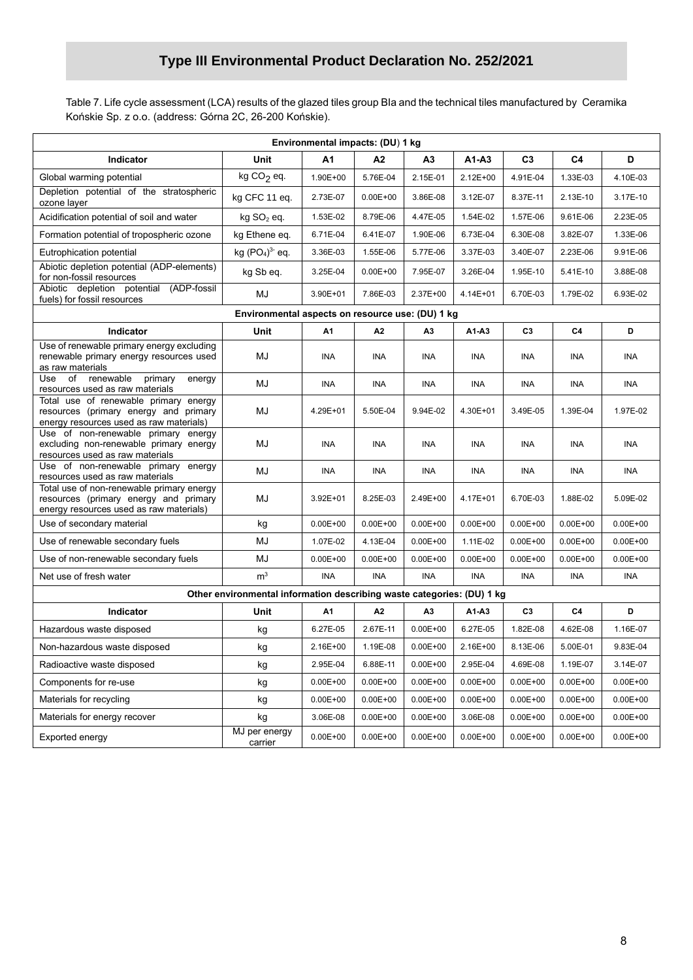Table 7. Life cycle assessment (LCA) results of the glazed tiles group BIa and the technical tiles manufactured by Ceramika Końskie Sp. z o.o. (address: Górna 2C, 26-200 Końskie).

| Environmental impacts: (DU) 1 kg                                                                                              |                                                                        |              |              |                |              |                |                |              |
|-------------------------------------------------------------------------------------------------------------------------------|------------------------------------------------------------------------|--------------|--------------|----------------|--------------|----------------|----------------|--------------|
| Indicator                                                                                                                     | Unit                                                                   | A1           | A2           | А3             | $A1-A3$      | C <sub>3</sub> | C <sub>4</sub> | D            |
| Global warming potential                                                                                                      | kg $CO2$ eq.                                                           | 1.90E+00     | 5.76E-04     | 2.15E-01       | 2.12E+00     | 4.91E-04       | 1.33E-03       | 4.10E-03     |
| Depletion potential of the stratospheric<br>ozone layer                                                                       | kg CFC 11 eq.                                                          | 2.73E-07     | $0.00E + 00$ | 3.86E-08       | 3.12E-07     | 8.37E-11       | 2.13E-10       | 3.17E-10     |
| Acidification potential of soil and water                                                                                     | $kg$ SO <sub>2</sub> eq.                                               | 1.53E-02     | 8.79E-06     | 4.47E-05       | 1.54E-02     | 1.57E-06       | 9.61E-06       | 2.23E-05     |
| Formation potential of tropospheric ozone                                                                                     | kg Ethene eq.                                                          | 6.71E-04     | 6.41E-07     | 1.90E-06       | 6.73E-04     | 6.30E-08       | 3.82E-07       | 1.33E-06     |
| Eutrophication potential                                                                                                      | kg $(PO4)3$ eq.                                                        | 3.36E-03     | 1.55E-06     | 5.77E-06       | 3.37E-03     | 3.40E-07       | 2.23E-06       | 9.91E-06     |
| Abiotic depletion potential (ADP-elements)<br>for non-fossil resources                                                        | kg Sb eq.                                                              | 3.25E-04     | $0.00E + 00$ | 7.95E-07       | 3.26E-04     | 1.95E-10       | 5.41E-10       | 3.88E-08     |
| (ADP-fossil<br>Abiotic depletion potential<br>fuels) for fossil resources                                                     | MJ                                                                     | 3.90E+01     | 7.86E-03     | 2.37E+00       | 4.14E+01     | 6.70E-03       | 1.79E-02       | 6.93E-02     |
|                                                                                                                               | Environmental aspects on resource use: (DU) 1 kg                       |              |              |                |              |                |                |              |
| Indicator                                                                                                                     | Unit                                                                   | A1           | А2           | A3             | A1-A3        | C <sub>3</sub> | C4             | D            |
| Use of renewable primary energy excluding<br>renewable primary energy resources used<br>as raw materials                      | MJ                                                                     | INA          | <b>INA</b>   | <b>INA</b>     | <b>INA</b>   | INA            | INA            | INA          |
| Use of renewable<br>primary<br>energy<br>resources used as raw materials                                                      | MJ                                                                     | INA          | <b>INA</b>   | INA            | INA          | INA            | INA            | INA          |
| Total use of renewable primary energy<br>resources (primary energy and primary<br>energy resources used as raw materials)     | MJ                                                                     | 4.29E+01     | 5.50E-04     | 9.94E-02       | 4.30E+01     | 3.49E-05       | 1.39E-04       | 1.97E-02     |
| Use of non-renewable primary energy<br>excluding non-renewable primary energy<br>resources used as raw materials              | MJ                                                                     | INA          | <b>INA</b>   | INA            | <b>INA</b>   | INA            | INA            | <b>INA</b>   |
| Use of non-renewable primary energy<br>resources used as raw materials                                                        | MJ                                                                     | INA          | <b>INA</b>   | INA            | <b>INA</b>   | INA            | <b>INA</b>     | <b>INA</b>   |
| Total use of non-renewable primary energy<br>resources (primary energy and primary<br>energy resources used as raw materials) | MJ                                                                     | 3.92E+01     | 8.25E-03     | 2.49E+00       | 4.17E+01     | 6.70E-03       | 1.88E-02       | 5.09E-02     |
| Use of secondary material                                                                                                     | kg                                                                     | $0.00E + 00$ | $0.00E + 00$ | $0.00E + 00$   | $0.00E + 00$ | $0.00E + 00$   | $0.00E + 00$   | $0.00E + 00$ |
| Use of renewable secondary fuels                                                                                              | MJ                                                                     | 1.07E-02     | 4.13E-04     | $0.00E + 00$   | 1.11E-02     | $0.00E + 00$   | $0.00E + 00$   | $0.00E + 00$ |
| Use of non-renewable secondary fuels                                                                                          | MJ                                                                     | $0.00E + 00$ | $0.00E + 00$ | $0.00E + 00$   | $0.00E + 00$ | $0.00E + 00$   | $0.00E + 00$   | $0.00E + 00$ |
| Net use of fresh water                                                                                                        | m <sup>3</sup>                                                         | INA          | <b>INA</b>   | <b>INA</b>     | INA          | <b>INA</b>     | INA            | <b>INA</b>   |
|                                                                                                                               | Other environmental information describing waste categories: (DU) 1 kg |              |              |                |              |                |                |              |
| Indicator                                                                                                                     | Unit                                                                   | A1           | A2           | A <sub>3</sub> | A1-A3        | C <sub>3</sub> | C4             | D            |
| Hazardous waste disposed                                                                                                      | kg                                                                     | 6.27E-05     | 2.67E-11     | $0.00E + 00$   | 6.27E-05     | 1.82E-08       | 4.62E-08       | 1.16E-07     |
| Non-hazardous waste disposed                                                                                                  | kg                                                                     | 2.16E+00     | 1.19E-08     | $0.00E + 00$   | 2.16E+00     | 8.13E-06       | 5.00E-01       | 9.83E-04     |
| Radioactive waste disposed                                                                                                    | kg                                                                     | 2.95E-04     | 6.88E-11     | $0.00E + 00$   | 2.95E-04     | 4.69E-08       | 1.19E-07       | 3.14E-07     |
| Components for re-use                                                                                                         | kg                                                                     | $0.00E + 00$ | $0.00E + 00$ | $0.00E + 00$   | $0.00E + 00$ | $0.00E + 00$   | $0.00E + 00$   | $0.00E + 00$ |
| Materials for recycling                                                                                                       | kg                                                                     | $0.00E + 00$ | $0.00E + 00$ | $0.00E + 00$   | $0.00E + 00$ | $0.00E + 00$   | $0.00E + 00$   | $0.00E + 00$ |
| Materials for energy recover                                                                                                  | kg                                                                     | 3.06E-08     | $0.00E + 00$ | $0.00E + 00$   | 3.06E-08     | $0.00E + 00$   | $0.00E + 00$   | $0.00E + 00$ |
| Exported energy                                                                                                               | MJ per energy<br>carrier                                               | $0.00E + 00$ | $0.00E + 00$ | $0.00E + 00$   | $0.00E + 00$ | $0.00E + 00$   | $0.00E + 00$   | $0.00E + 00$ |